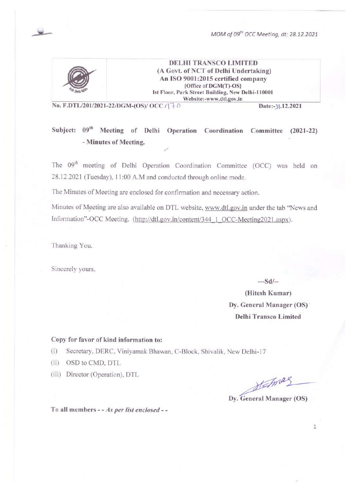MOM of 09<sup>th</sup> OCC Meeting, dt: 28.12.2021



**DELHI TRANSCO LIMITED** (A Govt. of NCT of Delhi Undertaking) An ISO 9001:2015 certified company {Office of DGM(T)-OS} Ist Floor, Park Street Building, New Delhi-110001 Website:-www.dtl.gov.in

No. F.DTL/201/2021-22/DGM-(OS)/ OCC / | + 0

Date:-31.12.2021

# Subject: 09<sup>th</sup> Meeting of Delhi Operation Coordination Committee (2021-22) - Minutes of Meeting.

The 09<sup>th</sup> meeting of Delhi Operation Coordination Committee (OCC) was held on 28.12.2021 (Tuesday), 11:00 A.M and conducted through online mode.

The Minutes of Meeting are enclosed for confirmation and necessary action.

Minutes of Meeting are also available on DTL website, www.dtl.gov.in under the tab "News and Information"-OCC Meeting. (http://dtl.gov.in/content/344 1 OCC-Meeting2021.aspx).

Thanking You.

Sincerely yours,

 $--Sd/-$ 

(Hitesh Kumar) Dy. General Manager (OS) **Delhi Transco Limited** 

#### Copy for favor of kind information to:

Secretary, DERC, Viniyamak Bhawan, C-Block, Shivalik, New Delhi-17  $(i)$ 

(ii) OSD to CMD, DTL

(iii) Director (Operation), DTL

Statmas

 $\mathbf{1}$ 

Dy. General Manager (OS)

To all members - - As per list enclosed - -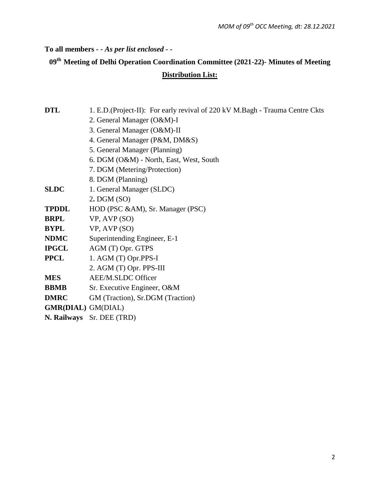**To all members** *- - As per list enclosed - -*

# **09th Meeting of Delhi Operation Coordination Committee (2021-22)- Minutes of Meeting**

# **Distribution List:**

| 1. E.D. (Project-II): For early revival of 220 kV M.Bagh - Trauma Centre Ckts |
|-------------------------------------------------------------------------------|
| 2. General Manager (O&M)-I                                                    |
| 3. General Manager (O&M)-II                                                   |
| 4. General Manager (P&M, DM&S)                                                |
| 5. General Manager (Planning)                                                 |
| 6. DGM (O&M) - North, East, West, South                                       |
| 7. DGM (Metering/Protection)                                                  |
| 8. DGM (Planning)                                                             |
| 1. General Manager (SLDC)                                                     |
| $2.$ DGM $(SO)$                                                               |
| HOD (PSC &AM), Sr. Manager (PSC)                                              |
| $VP$ , AVP $(SO)$                                                             |
| VP, AVP (SO)                                                                  |
| Superintending Engineer, E-1                                                  |
| AGM (T) Opr. GTPS                                                             |
| 1. AGM (T) Opr.PPS-I                                                          |
| 2. AGM (T) Opr. PPS-III                                                       |
| AEE/M.SLDC Officer                                                            |
| Sr. Executive Engineer, O&M                                                   |
| GM (Traction), Sr.DGM (Traction)                                              |
| <b>GMR(DIAL)</b> GM(DIAL)                                                     |
| N. Railways Sr. DEE (TRD)                                                     |
|                                                                               |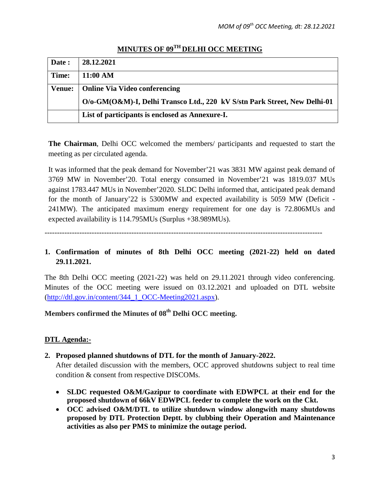| Date:         | 28.12.2021                                                                |
|---------------|---------------------------------------------------------------------------|
|               |                                                                           |
| Time:         | 11:00 AM                                                                  |
|               |                                                                           |
| <b>Venue:</b> | <b>Online Via Video conferencing</b>                                      |
|               |                                                                           |
|               | O/o-GM(O&M)-I, Delhi Transco Ltd., 220 kV S/stn Park Street, New Delhi-01 |
|               | List of participants is enclosed as Annexure-I.                           |

# **MINUTES OF 09TH DELHI OCC MEETING**

**The Chairman**, Delhi OCC welcomed the members/ participants and requested to start the meeting as per circulated agenda.

It was informed that the peak demand for November'21 was 3831 MW against peak demand of 3769 MW in November'20. Total energy consumed in November'21 was 1819.037 MUs against 1783.447 MUs in November'2020. SLDC Delhi informed that, anticipated peak demand for the month of January'22 is 5300MW and expected availability is 5059 MW (Deficit - 241MW). The anticipated maximum energy requirement for one day is 72.806MUs and expected availability is 114.795MUs (Surplus +38.989MUs).

----------------------------------------------------------------------------------------------------------------

**1. Confirmation of minutes of 8th Delhi OCC meeting (2021-22) held on dated 29.11.2021.**

The 8th Delhi OCC meeting (2021-22) was held on 29.11.2021 through video conferencing. Minutes of the OCC meeting were issued on 03.12.2021 and uploaded on DTL website [\(http://dtl.gov.in/content/344\\_1\\_OCC-Meeting2021.aspx\)](http://dtl.gov.in/content/344_1_OCC-Meeting2021.aspx).

**Members confirmed the Minutes of 08th Delhi OCC meeting.**

# **DTL Agenda:-**

**2. Proposed planned shutdowns of DTL for the month of January-2022.**

After detailed discussion with the members, OCC approved shutdowns subject to real time condition & consent from respective DISCOMs.

- **SLDC requested O&M/Gazipur to coordinate with EDWPCL at their end for the proposed shutdown of 66kV EDWPCL feeder to complete the work on the Ckt.**
- **OCC advised O&M/DTL to utilize shutdown window alongwith many shutdowns proposed by DTL Protection Deptt. by clubbing their Operation and Maintenance activities as also per PMS to minimize the outage period.**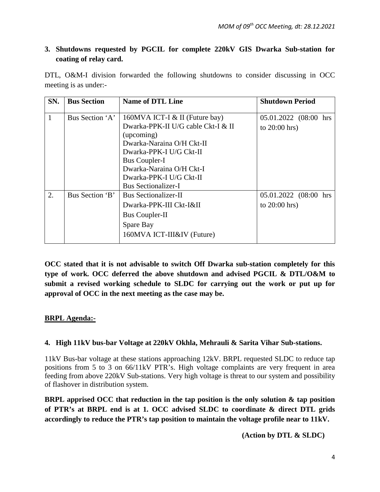# **3. Shutdowns requested by PGCIL for complete 220kV GIS Dwarka Sub-station for coating of relay card.**

DTL, O&M-I division forwarded the following shutdowns to consider discussing in OCC meeting is as under:-

| SN. | <b>Bus Section</b> | <b>Name of DTL Line</b>                                                                                                                                                                          | <b>Shutdown Period</b>                   |
|-----|--------------------|--------------------------------------------------------------------------------------------------------------------------------------------------------------------------------------------------|------------------------------------------|
|     | Bus Section 'A'    | 160MVA ICT-I $&$ II (Future bay)<br>Dwarka-PPK-II U/G cable Ckt-I & II<br>(upcoming)<br>Dwarka-Naraina O/H Ckt-II<br>Dwarka-PPK-I U/G Ckt-II<br><b>Bus Coupler-I</b><br>Dwarka-Naraina O/H Ckt-I | 05.01.2022 (08:00 hrs<br>to $20:00$ hrs) |
|     |                    | Dwarka-PPK-I U/G Ckt-II<br><b>Bus Sectionalizer-I</b>                                                                                                                                            |                                          |
| 2.  | Bus Section 'B'    | <b>Bus Sectionalizer-II</b><br>Dwarka-PPK-III Ckt-I&II<br><b>Bus Coupler-II</b><br>Spare Bay<br>160MVA ICT-III&IV (Future)                                                                       | 05.01.2022 (08:00 hrs<br>to $20:00$ hrs) |

**OCC stated that it is not advisable to switch Off Dwarka sub-station completely for this type of work. OCC deferred the above shutdown and advised PGCIL & DTL/O&M to submit a revised working schedule to SLDC for carrying out the work or put up for approval of OCC in the next meeting as the case may be.**

# **BRPL Agenda:-**

## **4. High 11kV bus-bar Voltage at 220kV Okhla, Mehrauli & Sarita Vihar Sub-stations.**

11kV Bus-bar voltage at these stations approaching 12kV. BRPL requested SLDC to reduce tap positions from 5 to 3 on 66/11kV PTR's. High voltage complaints are very frequent in area feeding from above 220kV Sub-stations. Very high voltage is threat to our system and possibility of flashover in distribution system.

**BRPL apprised OCC that reduction in the tap position is the only solution & tap position of PTR's at BRPL end is at 1. OCC advised SLDC to coordinate & direct DTL grids accordingly to reduce the PTR's tap position to maintain the voltage profile near to 11kV.**

 **(Action by DTL & SLDC)**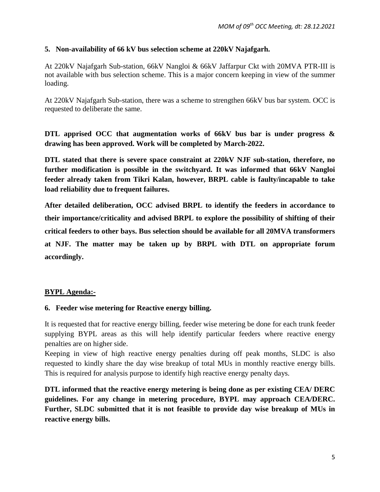#### **5. Non-availability of 66 kV bus selection scheme at 220kV Najafgarh.**

At 220kV Najafgarh Sub-station, 66kV Nangloi & 66kV Jaffarpur Ckt with 20MVA PTR-III is not available with bus selection scheme. This is a major concern keeping in view of the summer loading.

At 220kV Najafgarh Sub-station, there was a scheme to strengthen 66kV bus bar system. OCC is requested to deliberate the same.

**DTL apprised OCC that augmentation works of 66kV bus bar is under progress & drawing has been approved. Work will be completed by March-2022.**

**DTL stated that there is severe space constraint at 220kV NJF sub-station, therefore, no further modification is possible in the switchyard. It was informed that 66kV Nangloi feeder already taken from Tikri Kalan, however, BRPL cable is faulty/incapable to take load reliability due to frequent failures.** 

**After detailed deliberation, OCC advised BRPL to identify the feeders in accordance to their importance/criticality and advised BRPL to explore the possibility of shifting of their critical feeders to other bays. Bus selection should be available for all 20MVA transformers at NJF. The matter may be taken up by BRPL with DTL on appropriate forum accordingly.**

## **BYPL Agenda:-**

#### **6. Feeder wise metering for Reactive energy billing.**

It is requested that for reactive energy billing, feeder wise metering be done for each trunk feeder supplying BYPL areas as this will help identify particular feeders where reactive energy penalties are on higher side.

Keeping in view of high reactive energy penalties during off peak months, SLDC is also requested to kindly share the day wise breakup of total MUs in monthly reactive energy bills. This is required for analysis purpose to identify high reactive energy penalty days.

**DTL informed that the reactive energy metering is being done as per existing CEA/ DERC guidelines. For any change in metering procedure, BYPL may approach CEA/DERC. Further, SLDC submitted that it is not feasible to provide day wise breakup of MUs in reactive energy bills.**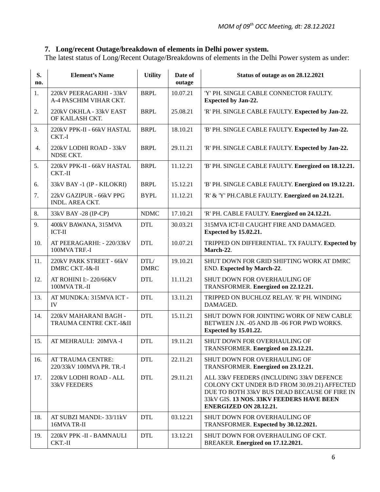# **7. Long/recent Outage/breakdown of elements in Delhi power system.**

The latest status of Long/Recent Outage/Breakdowns of elements in the Delhi Power system as under:

| S.<br>no. | <b>Element's Name</b>                             | <b>Utility</b>      | Date of<br>outage | Status of outage as on 28.12.2021                                                                                                                                                                              |
|-----------|---------------------------------------------------|---------------------|-------------------|----------------------------------------------------------------------------------------------------------------------------------------------------------------------------------------------------------------|
| 1.        | 220kV PEERAGARHI - 33kV<br>A-4 PASCHIM VIHAR CKT. | <b>BRPL</b>         | 10.07.21          | 'Y' PH. SINGLE CABLE CONNECTOR FAULTY.<br><b>Expected by Jan-22.</b>                                                                                                                                           |
| 2.        | 220kV OKHLA - 33kV EAST<br>OF KAILASH CKT.        | <b>BRPL</b>         | 25.08.21          | 'R' PH. SINGLE CABLE FAULTY. Expected by Jan-22.                                                                                                                                                               |
| 3.        | 220kV PPK-II - 66kV HASTAL<br>CKT.-I              | <b>BRPL</b>         | 18.10.21          | 'B' PH. SINGLE CABLE FAULTY. Expected by Jan-22.                                                                                                                                                               |
| 4.        | 220kV LODHI ROAD - 33kV<br>NDSE CKT.              | <b>BRPL</b>         | 29.11.21          | 'R' PH. SINGLE CABLE FAULTY. Expected by Jan-22.                                                                                                                                                               |
| 5.        | 220kV PPK-II - 66kV HASTAL<br>$CKT.-II$           | <b>BRPL</b>         | 11.12.21          | 'B' PH. SINGLE CABLE FAULTY. Energized on 18.12.21.                                                                                                                                                            |
| 6.        | 33kV BAY -1 (IP - KILOKRI)                        | <b>BRPL</b>         | 15.12.21          | 'B' PH. SINGLE CABLE FAULTY. Energized on 19.12.21.                                                                                                                                                            |
| 7.        | 22kV GAZIPUR - 66kV PPG<br><b>INDL. AREA CKT.</b> | <b>BYPL</b>         | 11.12.21          | 'R' & 'Y' PH.CABLE FAULTY. Energized on 24.12.21.                                                                                                                                                              |
| 8.        | 33kV BAY -28 (IP-CP)                              | <b>NDMC</b>         | 17.10.21          | 'R' PH. CABLE FAULTY. Energized on 24.12.21.                                                                                                                                                                   |
| 9.        | 400kV BAWANA, 315MVA<br><b>ICT-II</b>             | <b>DTL</b>          | 30.03.21          | 315MVA ICT-II CAUGHT FIRE AND DAMAGED.<br><b>Expected by 15.02.21.</b>                                                                                                                                         |
| 10.       | AT PEERAGARHI: - 220/33kV<br>100MVA TRF.-I        | <b>DTL</b>          | 10.07.21          | TRIPPED ON DIFFERENTIAL. TX FAULTY. Expected by<br>March-22.                                                                                                                                                   |
| 11.       | 220kV PARK STREET - 66kV<br>DMRC CKT.-I&-II       | DTL/<br><b>DMRC</b> | 19.10.21          | SHUT DOWN FOR GRID SHIFTING WORK AT DMRC<br><b>END.</b> Expected by March-22.                                                                                                                                  |
| 12.       | AT ROHINI I:- 220/66KV<br>100MVA TR.-II           | <b>DTL</b>          | 11.11.21          | SHUT DOWN FOR OVERHAULING OF<br>TRANSFORMER. Energized on 22.12.21.                                                                                                                                            |
| 13.       | AT MUNDKA: 315MVA ICT -<br>IV                     | <b>DTL</b>          | 13.11.21          | TRIPPED ON BUCHLOZ RELAY. 'R' PH. WINDING<br>DAMAGED.                                                                                                                                                          |
| 14.       | 220kV MAHARANI BAGH -<br>TRAUMA CENTRE CKT.-I&II  | <b>DTL</b>          | 15.11.21          | SHUT DOWN FOR JOINTING WORK OF NEW CABLE<br>BETWEEN J.N. - 05 AND JB - 06 FOR PWD WORKS.<br><b>Expected by 15.01.22.</b>                                                                                       |
| 15.       | AT MEHRAULI: 20MVA-I                              | <b>DTL</b>          | 19.11.21          | SHUT DOWN FOR OVERHAULING OF<br>TRANSFORMER. Energized on 23.12.21.                                                                                                                                            |
| 16.       | AT TRAUMA CENTRE:<br>220/33kV 100MVA PR. TR.-I    | <b>DTL</b>          | 22.11.21          | <b>SHUT DOWN FOR OVERHAULING OF</b><br>TRANSFORMER. Energized on 23.12.21.                                                                                                                                     |
| 17.       | 220kV LODHI ROAD - ALL<br><b>33kV FEEDERS</b>     | <b>DTL</b>          | 29.11.21          | ALL 33kV FEEDERS (INCLUDING 33kV DEFENCE<br>COLONY CKT UNDER B/D FROM 30.09.21) AFFECTED<br>DUE TO BOTH 33kV BUS DEAD BECAUSE OF FIRE IN<br>33kV GIS. 13 NOS. 33KV FEEDERS HAVE BEEN<br>ENERGIZED ON 28.12.21. |
| 18.       | AT SUBZI MANDI: - 33/11kV<br>16MVA TR-II          | <b>DTL</b>          | 03.12.21          | SHUT DOWN FOR OVERHAULING OF<br>TRANSFORMER. Expected by 30.12.2021.                                                                                                                                           |
| 19.       | 220kV PPK -II - BAMNAULI<br>CKT.-II               | <b>DTL</b>          | 13.12.21          | SHUT DOWN FOR OVERHAULING OF CKT.<br>BREAKER. Energized on 17.12.2021.                                                                                                                                         |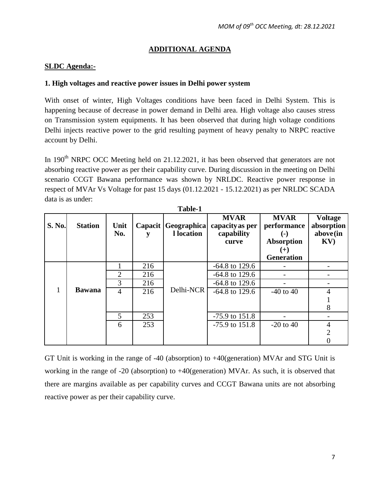# **ADDITIONAL AGENDA**

#### **SLDC Agenda:-**

#### **1. High voltages and reactive power issues in Delhi power system**

With onset of winter, High Voltages conditions have been faced in Delhi System. This is happening because of decrease in power demand in Delhi area. High voltage also causes stress on Transmission system equipments. It has been observed that during high voltage conditions Delhi injects reactive power to the grid resulting payment of heavy penalty to NRPC reactive account by Delhi.

In 190<sup>th</sup> NRPC OCC Meeting held on 21.12.2021, it has been observed that generators are not absorbing reactive power as per their capability curve. During discussion in the meeting on Delhi scenario CCGT Bawana performance was shown by NRLDC. Reactive power response in respect of MVAr Vs Voltage for past 15 days (01.12.2021 - 15.12.2021) as per NRLDC SCADA data is as under:

| S. No. | <b>Station</b> | Unit<br>No.    |     | Capacit   Geographica  <br>l location | <b>MVAR</b><br>capacity as per<br>capability<br>curve | <b>MVAR</b><br>performance<br>$\left( \text{-}\right)$<br><b>Absorption</b><br>$(+)$ | <b>Voltage</b><br>absorption<br>above(in<br>$\mathbf{K} \mathbf{V}$ |
|--------|----------------|----------------|-----|---------------------------------------|-------------------------------------------------------|--------------------------------------------------------------------------------------|---------------------------------------------------------------------|
|        |                |                |     |                                       |                                                       | <b>Generation</b>                                                                    |                                                                     |
|        |                |                | 216 |                                       | $-64.8$ to 129.6                                      |                                                                                      |                                                                     |
|        |                | $\overline{2}$ | 216 |                                       | $-64.8$ to 129.6                                      |                                                                                      |                                                                     |
|        |                | 3              | 216 |                                       | $-64.8$ to 129.6                                      |                                                                                      |                                                                     |
|        | <b>Bawana</b>  | $\overline{4}$ | 216 | Delhi-NCR                             | $-64.8$ to 129.6                                      | $-40$ to $40$                                                                        | 4                                                                   |
|        |                |                |     |                                       |                                                       |                                                                                      |                                                                     |
|        |                |                |     |                                       |                                                       |                                                                                      | 8                                                                   |
|        |                | 5              | 253 |                                       | $-75.9$ to $151.8$                                    |                                                                                      |                                                                     |
|        |                | 6              | 253 |                                       | $-75.9$ to $151.8$                                    | $-20$ to 40                                                                          | 4                                                                   |
|        |                |                |     |                                       |                                                       |                                                                                      |                                                                     |
|        |                |                |     |                                       |                                                       |                                                                                      |                                                                     |

**Table-1**

GT Unit is working in the range of -40 (absorption) to +40(generation) MVAr and STG Unit is working in the range of -20 (absorption) to +40(generation) MVAr. As such, it is observed that there are margins available as per capability curves and CCGT Bawana units are not absorbing reactive power as per their capability curve.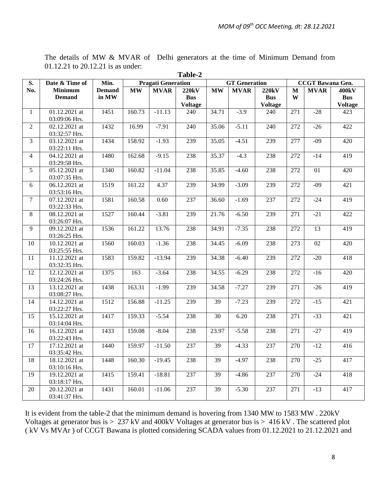| S.             | 1 adie-4<br>Min.<br>Date & Time of<br><b>Pragati Generation</b><br><b>GT</b> Generation<br><b>CCGT</b> Bawana Gen. |               |           |             |                              |           |             |                       |                  |             |                       |
|----------------|--------------------------------------------------------------------------------------------------------------------|---------------|-----------|-------------|------------------------------|-----------|-------------|-----------------------|------------------|-------------|-----------------------|
| No.            | <b>Minimum</b>                                                                                                     | <b>Demand</b> |           |             |                              |           |             |                       |                  |             |                       |
|                |                                                                                                                    | in MW         | <b>MW</b> | <b>MVAR</b> | <b>220kV</b>                 | <b>MW</b> | <b>MVAR</b> | <b>220kV</b>          | $\mathbf M$<br>W | <b>MVAR</b> | 400kV                 |
|                | <b>Demand</b>                                                                                                      |               |           |             | <b>Bus</b><br><b>Voltage</b> |           |             | <b>Bus</b>            |                  |             | <b>Bus</b>            |
| $\mathbf{1}$   | 01.12.2021 at                                                                                                      | 1451          | 160.73    | $-11.13$    | 240                          | 34.71     | $-3.9$      | <b>Voltage</b><br>240 | 271              | $-28$       | <b>Voltage</b><br>423 |
|                | 03:09:06 Hrs.                                                                                                      |               |           |             |                              |           |             |                       |                  |             |                       |
| $\overline{2}$ | 02.12.2021 at                                                                                                      | 1432          | 16.99     | $-7.91$     | 240                          | 35.06     | $-5.11$     | 240                   | 272              | $-26$       | 422                   |
|                | 03:32:57 Hrs.                                                                                                      |               |           |             |                              |           |             |                       |                  |             |                       |
| $\overline{3}$ | 03.12.2021 at                                                                                                      | 1434          | 158.92    | $-1.93$     | 239                          | 35.05     | $-4.51$     | 239                   | 277              | $-09$       | 420                   |
|                | 03:22:11 Hrs.                                                                                                      |               |           |             |                              |           |             |                       |                  |             |                       |
| $\overline{4}$ | 04.12.2021 at                                                                                                      | 1480          | 162.68    | $-9.15$     | 238                          | 35.37     | $-4.3$      | 238                   | 272              | $-14$       | 419                   |
|                | 03:29:58 Hrs.                                                                                                      |               |           |             |                              |           |             |                       |                  |             |                       |
| 5              | 05.12.2021 at                                                                                                      | 1340          | 160.82    | $-11.04$    | 238                          | 35.85     | $-4.60$     | 238                   | 272              | 01          | 420                   |
|                | 03:07:35 Hrs.                                                                                                      |               |           |             |                              |           |             |                       |                  |             |                       |
| 6              | 06.12.2021 at                                                                                                      | 1519          | 161.22    | 4.37        | 239                          | 34.99     | $-3.09$     | 239                   | 272              | $-09$       | 421                   |
|                | 03:53:16 Hrs.                                                                                                      |               |           |             |                              |           |             |                       |                  |             |                       |
| $\tau$         | 07.12.2021 at                                                                                                      | 1581          | 160.58    | 0.60        | 237                          | 36.60     | $-1.69$     | 237                   | 272              | $-24$       | 419                   |
|                | 03:22:33 Hrs.                                                                                                      |               |           |             |                              |           |             |                       |                  |             |                       |
| $8\,$          | 08.12.2021 at                                                                                                      | 1527          | 160.44    | $-3.81$     | 239                          | 21.76     | $-6.50$     | 239                   | 271              | $-21$       | 422                   |
|                | 03:26:07 Hrs.                                                                                                      |               |           |             |                              |           |             |                       |                  |             |                       |
| 9              | 09.12.2021 at                                                                                                      | 1536          | 161.22    | 13.76       | 238                          | 34.91     | $-7.35$     | 238                   | 272              | 13          | 419                   |
|                | 03:26:25 Hrs.                                                                                                      |               |           |             |                              |           |             |                       |                  |             |                       |
| 10             | 10.12.2021 at                                                                                                      | 1560          | 160.03    | $-1.36$     | 238                          | 34.45     | $-6.09$     | 238                   | 273              | 02          | 420                   |
|                | 03:25:55 Hrs.                                                                                                      |               |           |             |                              |           |             |                       |                  |             |                       |
| 11             | $11.12.2021$ at                                                                                                    | 1583          | 159.82    | $-13.94$    | 239                          | 34.38     | $-6.40$     | 239                   | 272              | $-20$       | 418                   |
|                | 03:32:35 Hrs.                                                                                                      |               |           |             |                              |           |             |                       |                  |             |                       |
| 12             | 12.12.2021 at                                                                                                      | 1375          | 163       | $-3.64$     | 238                          | 34.55     | $-6.29$     | 238                   | 272              | $-16$       | 420                   |
|                | 03:24:26 Hrs.                                                                                                      |               |           |             |                              |           |             |                       |                  |             |                       |
| 13             | 13.12.2021 at                                                                                                      | 1438          | 163.31    | $-1.99$     | 239                          | 34.58     | $-7.27$     | 239                   | 271              | $-26$       | 419                   |
|                | 03:08:27 Hrs.                                                                                                      |               |           |             |                              |           |             |                       |                  |             |                       |
| 14             | 14.12.2021 at                                                                                                      | 1512          | 156.88    | $-11.25$    | 239                          | 39        | $-7.23$     | 239                   | 272              | $-15$       | 421                   |
|                | 03:22:27 Hrs.                                                                                                      |               |           |             |                              |           |             |                       |                  |             |                       |
| 15             | 15.12.2021 at                                                                                                      | 1417          | 159.33    | $-5.54$     | 238                          | 30        | 6.20        | 238                   | 271              | $-33$       | 421                   |
|                | 03:14:04 Hrs.                                                                                                      |               |           |             |                              |           |             |                       |                  |             |                       |
| 16             | 16.12.2021 at                                                                                                      | 1433          | 159.08    | $-8.04$     | 238                          | 23.97     | $-5.58$     | 238                   | 271              | $-27$       | 419                   |
|                | 03:22:43 Hrs.                                                                                                      |               |           |             |                              |           |             |                       |                  |             |                       |
| 17             | 17.12.2021 at                                                                                                      | 1440          | 159.97    | $-11.50$    | 237                          | 39        | $-4.33$     | 237                   | 270              | $-12$       | 416                   |
|                | 03:35:42 Hrs.                                                                                                      |               |           |             |                              |           |             |                       |                  |             |                       |
| 18             | 18.12.2021 at                                                                                                      | 1448          | 160.30    | $-19.45$    | 238                          | 39        | $-4.97$     | 238                   | 270              | $-25$       | 417                   |
|                | 03:10:16 Hrs.                                                                                                      |               |           |             |                              |           |             |                       |                  |             |                       |
| 19             | 19.12.2021 at                                                                                                      | 1415          | 159.41    | $-18.81$    | 237                          | 39        | $-4.86$     | 237                   | 270              | $-24$       | 418                   |
|                | 03:18:17 Hrs.                                                                                                      |               |           |             |                              |           |             |                       |                  |             |                       |
| 20             | 20.12.2021 at                                                                                                      | 1431          | 160.01    | $-11.06$    | 237                          | 39        | $-5.30$     | 237                   | 271              | $-13$       | 417                   |
|                | 03:41:37 Hrs.                                                                                                      |               |           |             |                              |           |             |                       |                  |             |                       |

The details of MW & MVAR of Delhi generators at the time of Minimum Demand from 01.12.21 to 20.12.21 is as under: **Table-2**

It is evident from the table-2 that the minimum demand is hovering from 1340 MW to 1583 MW . 220kV Voltages at generator bus is > 237 kV and 400kV Voltages at generator bus is > 416 kV . The scattered plot ( kV Vs MVAr ) of CCGT Bawana is plotted considering SCADA values from 01.12.2021 to 21.12.2021 and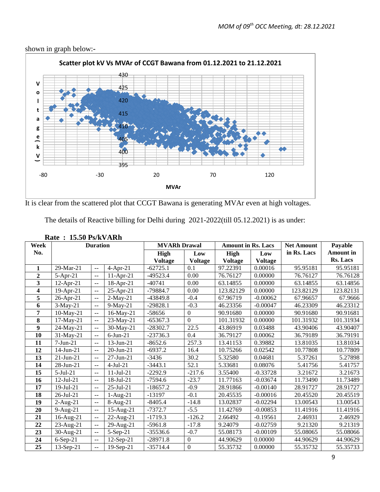

shown in graph below:**-**

It is clear from the scattered plot that CCGT Bawana is generating MVAr even at high voltages.

The details of Reactive billing for Delhi during 2021-2022(till 05.12.2021) is as under:

| Week                    | <b>Duration</b> |                                               |                 | <b>MVARh Drawal</b> |              | <b>Amount in Rs. Lacs</b> |                | <b>Net Amount</b> | Payable          |
|-------------------------|-----------------|-----------------------------------------------|-----------------|---------------------|--------------|---------------------------|----------------|-------------------|------------------|
| No.                     |                 |                                               |                 | <b>High</b>         | Low          | <b>High</b>               | Low            | in Rs. Lacs       | <b>Amount</b> in |
|                         |                 |                                               |                 | <b>Voltage</b>      | Voltage      | <b>Voltage</b>            | <b>Voltage</b> |                   | Rs. Lacs         |
| 1                       | 29-Mar-21       | $\mathbf{u} = \mathbf{v}$                     | $4-Apr-21$      | $-62725.1$          | 0.1          | 97.22391                  | 0.00016        | 95.95181          | 95.95181         |
| $\boldsymbol{2}$        | $5-Apr-21$      | $-$                                           | $11-Apr-21$     | $-49523.4$          | 0.00         | 76.76127                  | 0.00000        | 76.76127          | 76.76128         |
| $\overline{\mathbf{3}}$ | $12$ -Apr-21    | $\overline{\phantom{a}}$                      | 18-Apr-21       | $-40741$            | 0.00         | 63.14855                  | 0.00000        | 63.14855          | 63.14856         |
| 4                       | $19-Apr-21$     | $-$                                           | 25-Apr-21       | $-79884.7$          | 0.00         | 123.82129                 | 0.00000        | 123.82129         | 123.82131        |
| 5                       | 26-Apr-21       | $-$                                           | $2-May-21$      | -43849.8            | $-0.4$       | 67.96719                  | $-0.00062$     | 67.96657          | 67.9666          |
| 6                       | $3-May-21$      | $\sim$ $\sim$                                 | $9-May-21$      | $-29828.1$          | $-0.3$       | 46.23356                  | $-0.00047$     | 46.23309          | 46.23312         |
| 7                       | $10$ -May-21    | $\sim$ $\sim$                                 | 16-May-21       | $-58656$            | $\mathbf{0}$ | 90.91680                  | 0.00000        | 90.91680          | 90.91681         |
| 8                       | $17$ -May-21    | $\sim$ $\sim$                                 | 23-May-21       | $-65367.3$          | $\mathbf{0}$ | 101.31932                 | 0.00000        | 101.31932         | 101.31934        |
| 9                       | 24-May-21       | $\mathord{\hspace{1pt}\text{--}\hspace{1pt}}$ | 30-May-21       | $-28302.7$          | 22.5         | 43.86919                  | 0.03488        | 43.90406          | 43.90407         |
| 10                      | 31-May-21       | $\overline{a}$                                | $6$ -Jun-21     | $-23736.3$          | 0.4          | 36.79127                  | 0.00062        | 36.79189          | 36.79191         |
| 11                      | $7-Jun-21$      | $-$                                           | 13-Jun-21       | $-8652.6$           | 257.3        | 13.41153                  | 0.39882        | 13.81035          | 13.81034         |
| 12                      | $14$ -Jun-21    | $-$                                           | 20-Jun-21       | $-6937.2$           | 16.4         | 10.75266                  | 0.02542        | 10.77808          | 10.77809         |
| 13                      | $21$ -Jun- $21$ | $\overline{\phantom{a}}$                      | $27$ -Jun- $21$ | $-3436$             | 30.2         | 5.32580                   | 0.04681        | 5.37261           | 5.27898          |
| 14                      | $28$ -Jun- $21$ | --                                            | $4-Jul-21$      | $-3443.1$           | 52.1         | 5.33681                   | 0.08076        | 5.41756           | 5.41757          |
| 15                      | $5-Jul-21$      | $-$                                           | $11-Jul-21$     | $-2292.9$           | $-217.6$     | 3.55400                   | $-0.33728$     | 3.21672           | 3.21673          |
| 16                      | $12$ -Jul-21    | $\overline{\phantom{a}}$                      | $18$ -Jul-21    | $-7594.6$           | $-23.7$      | 11.77163                  | $-0.03674$     | 11.73490          | 11.73489         |
| 17                      | 19-Jul-21       | $-$                                           | 25-Jul-21       | $-18657.2$          | $-0.9$       | 28.91866                  | $-0.00140$     | 28.91727          | 28.91727         |
| 18                      | $26$ -Jul- $21$ | $\overline{\phantom{a}}$                      | $1-Aug-21$      | $-13197$            | $-0.1$       | 20.45535                  | $-0.00016$     | 20.45520          | 20.45519         |
| 19                      | $2-Aug-21$      | $\overline{\phantom{a}}$                      | 8-Aug-21        | $-8405.4$           | $-14.8$      | 13.02837                  | $-0.02294$     | 13.00543          | 13.00543         |
| 20                      | 9-Aug-21        | $-$                                           | 15-Aug-21       | $-7372.7$           | $-5.5$       | 11.42769                  | $-0.00853$     | 11.41916          | 11.41916         |
| 21                      | 16-Aug-21       | $\overline{a}$                                | 22-Aug-21       | $-1719.3$           | $-126.2$     | 2.66492                   | $-0.19561$     | 2.46931           | 2.46929          |
| 22                      | $23$ -Aug-21    | $\overline{a}$                                | 29-Aug-21       | $-5961.8$           | $-17.8$      | 9.24079                   | $-0.02759$     | 9.21320           | 9.21319          |
| 23                      | 30-Aug-21       | $\overline{a}$                                | $5-Sep-21$      | $-35536.6$          | $-0.7$       | 55.08173                  | $-0.00109$     | 55.08065          | 55.08066         |
| 24                      | $6-Sep-21$      | $\overline{a}$                                | $12$ -Sep-21    | $-28971.8$          | $\Omega$     | 44.90629                  | 0.00000        | 44.90629          | 44.90629         |
| 25                      | $13-Sep-21$     | $\mathbb{L}^{\mathbb{L}}$                     | $19-Sep-21$     | $-35714.4$          | $\mathbf{0}$ | 55.35732                  | 0.00000        | 55.35732          | 55.35733         |

**Rate : 15.50 Ps/kVARh**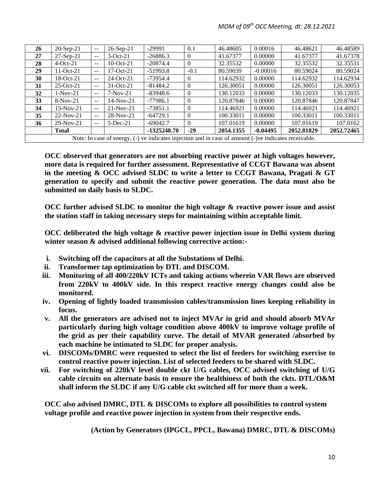| 26 | $20-Sep-21$     | $- -$         | $26-Sep-21$ | $-29991$                                                                                              | 0.1      | 46.48605  | 0.00016    | 46.48621   | 46.48589   |
|----|-----------------|---------------|-------------|-------------------------------------------------------------------------------------------------------|----------|-----------|------------|------------|------------|
| 27 | $27-Sep-21$     | $- -$         | $3-Oct-21$  | $-26886.3$                                                                                            | $\Omega$ | 41.67377  | 0.00000    | 41.67377   | 41.67378   |
| 28 | $4-Oct-21$      | $- -$         | 10-Oct-21   | $-20874.4$                                                                                            | $\theta$ | 32.35532  | 0.00000    | 32.35532   | 32.35531   |
| 29 | $11-Oct-21$     | $- -$         | $17-Oct-21$ | $-51993.8$                                                                                            | $-0.1$   | 80.59039  | $-0.00016$ | 80.59024   | 80.59024   |
| 30 | $18-Oct-21$     | $- -$         | 24-Oct-21   | -73954.4                                                                                              | $\theta$ | 114.62932 | 0.00000    | 114.62932  | 114.62934  |
| 31 | $25$ -Oct- $21$ | $- -$         | $31-Oct-21$ | $-81484.2$                                                                                            | $\theta$ | 126.30051 | 0.00000    | 126.30051  | 126.30053  |
| 32 | $1-Nov-21$      | $\sim$ $\sim$ | $7-Nov-21$  | $-83948.6$                                                                                            | $\Omega$ | 130.12033 | 0.00000    | 130.12033  | 130.12035  |
| 33 | $8-Nov-21$      | $- -$         | $14-Nov-21$ | $-77986.1$                                                                                            | $\Omega$ | 120.87846 | 0.00000    | 120.87846  | 120.87847  |
| 34 | $15-Nov-21$     | $-$           | $21-Nov-21$ | $-73851.1$                                                                                            | $\Omega$ | 114.46921 | 0.00000    | 114.46921  | 114.46921  |
| 35 | $22-Nov-21$     | $-$           | $28-Nov-21$ | $-64729.1$                                                                                            | $\Omega$ | 100.33011 | 0.00000    | 100.33011  | 100.33011  |
| 36 | $29-Nov-21$     | $-$           | $5$ -Dec-21 | $-69042.7$                                                                                            | $\Omega$ | 107.01619 | 0.00000    | 107.01619  | 107.0162   |
|    | <b>Total</b>    |               |             | $-1325248.70$                                                                                         | $-29$    | 2054.1355 | $-0.04495$ | 2052.81829 | 2052.72465 |
|    |                 |               |             | Note: In case of energy, (-) ve indicates injection and in case of amount (-)ve indicates receivable. |          |           |            |            |            |

**OCC observed that generators are not absorbing reactive power at high voltages however, more data is required for further assessment. Representative of CCGT Bawana was absent in the meeting & OCC advised SLDC to write a letter to CCGT Bawana, Pragati & GT generation to specify and submit the reactive power generation. The data must also be submitted on daily basis to SLDC.**

**OCC further advised SLDC to monitor the high voltage & reactive power issue and assist the station staff in taking necessary steps for maintaining within acceptable limit.**

**OCC deliberated the high voltage & reactive power injection issue in Delhi system during winter season & advised additional following corrective action:-**

- **i. Switching off the capacitors at all the Substations of Delhi.**
- **ii. Transformer tap optimization by DTL and DISCOM.**
- **iii. Monitoring of all 400/220kV ICTs and taking actions wherein VAR flows are observed from 220kV to 400kV side. In this respect reactive energy changes could also be monitored.**
- **iv. Opening of lightly loaded transmission cables/transmission lines keeping reliability in focus.**
- **v. All the generators are advised not to inject MVAr in grid and should absorb MVAr particularly during high voltage condition above 400kV to improve voltage profile of the grid as per their capability curve. The detail of MVAR generated /absorbed by each machine be intimated to SLDC for proper analysis.**
- **vi. DISCOMs/DMRC were requested to select the list of feeders for switching exercise to control reactive power injection. List of selected feeders to be shared with SLDC.**
- **vii. For switching of 220kV level double ckt U/G cables, OCC advised switching of U/G cable circuits on alternate basis to ensure the healthiness of both the ckts. DTL/O&M shall inform the SLDC if any U/G cable ckt switched off for more than a week.**

**OCC also advised DMRC, DTL & DISCOMs to explore all possibilities to control system voltage profile and reactive power injection in system from their respective ends.**

**(Action by Generators (IPGCL, PPCL, Bawana) DMRC, DTL & DISCOMs)**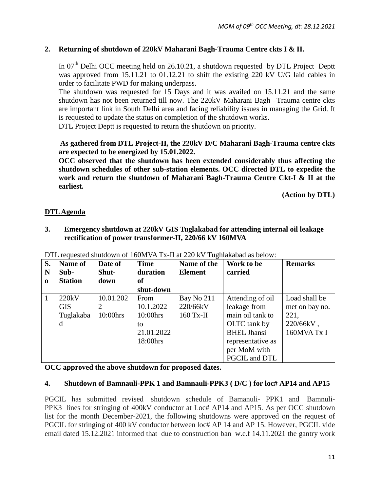# **2. Returning of shutdown of 220kV Maharani Bagh-Trauma Centre ckts I & II.**

In  $07<sup>th</sup>$  Delhi OCC meeting held on 26.10.21, a shutdown requested by DTL Project Deptt was approved from 15.11.21 to 01.12.21 to shift the existing 220 kV U/G laid cables in order to facilitate PWD for making underpass.

The shutdown was requested for 15 Days and it was availed on 15.11.21 and the same shutdown has not been returned till now. The 220kV Maharani Bagh –Trauma centre ckts are important link in South Delhi area and facing reliability issues in managing the Grid. It is requested to update the status on completion of the shutdown works.

DTL Project Deptt is requested to return the shutdown on priority.

**As gathered from DTL Project-II, the 220kV D/C Maharani Bagh-Trauma centre ckts are expected to be energized by 15.01.2022.** 

**OCC observed that the shutdown has been extended considerably thus affecting the shutdown schedules of other sub-station elements. OCC directed DTL to expedite the work and return the shutdown of Maharani Bagh-Trauma Centre Ckt-I & II at the earliest.** 

**(Action by DTL)**

# **DTL Agenda**

**3. Emergency shutdown at 220kV GIS Tuglakabad for attending internal oil leakage rectification of power transformer-II, 220/66 kV 160MVA**

| S.           | <b>Name of</b> | Date of   | <b>Time</b> | Name of the    | Work to be         | <b>Remarks</b> |
|--------------|----------------|-----------|-------------|----------------|--------------------|----------------|
| N            | Sub-           | Shut-     | duration    | <b>Element</b> | carried            |                |
| $\mathbf 0$  | <b>Station</b> | down      | of          |                |                    |                |
|              |                |           | shut-down   |                |                    |                |
| $\mathbf{1}$ | 220kV          | 10.01.202 | From        | Bay No 211     | Attending of oil   | Load shall be  |
|              | <b>GIS</b>     |           | 10.1.2022   | 220/66kV       | leakage from       | met on bay no. |
|              | Tuglakaba      | 10:00hrs  | $10:00$ hrs | $160$ Tx-II    | main oil tank to   | 221,           |
|              | d              |           | to          |                | OLTC tank by       | 220/66kV,      |
|              |                |           | 21.01.2022  |                | <b>BHEL Jhansi</b> | 160MVA Tx I    |
|              |                |           | 18:00hrs    |                | representative as  |                |
|              |                |           |             |                | per MoM with       |                |
|              |                |           |             |                | PGCIL and DTL      |                |

DTL requested shutdown of 160MVA Tx-II at 220 kV Tughlakabad as below:

**OCC approved the above shutdown for proposed dates.**

## **4. Shutdown of Bamnauli-PPK 1 and Bamnauli-PPK3 ( D/C ) for loc# AP14 and AP15**

PGCIL has submitted revised shutdown schedule of Bamanuli- PPK1 and Bamnuli-PPK3 lines for stringing of 400kV conductor at Loc# AP14 and AP15. As per OCC shutdown list for the month December-2021, the following shutdowns were approved on the request of PGCIL for stringing of 400 kV conductor between loc# AP 14 and AP 15. However, PGCIL vide email dated 15.12.2021 informed that due to construction ban w.e.f 14.11.2021 the gantry work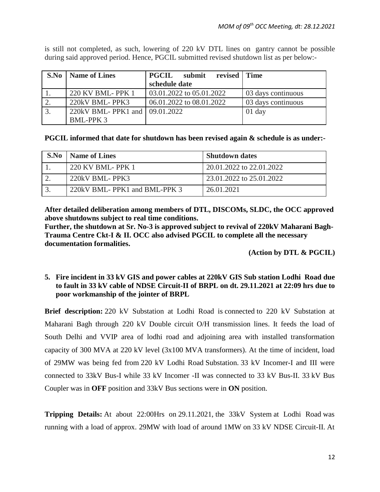|    | <b>S.No</b>   <b>Name of Lines</b> | <b>PGCIL</b><br>submit<br>revised Time |                    |
|----|------------------------------------|----------------------------------------|--------------------|
|    |                                    | schedule date                          |                    |
|    | 220 KV BML- PPK 1                  | 03.01.2022 to 05.01.2022               | 03 days continuous |
|    | 220kV BML-PPK3                     | 06.01.2022 to 08.01.2022               | 03 days continuous |
| 3. | 220kV BML- PPK1 and 109.01.2022    |                                        | $01$ day           |
|    | <b>BML-PPK3</b>                    |                                        |                    |

is still not completed, as such, lowering of 220 kV DTL lines on gantry cannot be possible during said approved period. Hence, PGCIL submitted revised shutdown list as per below:-

**PGCIL informed that date for shutdown has been revised again & schedule is as under:-**

| S.No | Name of Lines                | <b>Shutdown dates</b>    |
|------|------------------------------|--------------------------|
|      | 220 KV BML-PPK 1             | 20.01.2022 to 22.01.2022 |
|      | 220kV BML-PPK3               | 23.01.2022 to 25.01.2022 |
|      | 220kV BML-PPK1 and BML-PPK 3 | 26.01.2021               |

**After detailed deliberation among members of DTL, DISCOMs, SLDC, the OCC approved above shutdowns subject to real time conditions.** 

**Further, the shutdown at Sr. No-3 is approved subject to revival of 220kV Maharani Bagh-Trauma Centre Ckt-I & II. OCC also advised PGCIL to complete all the necessary documentation formalities.**

**(Action by DTL & PGCIL)**

#### **5. Fire incident in 33 kV GIS and power cables at 220kV GIS Sub station Lodhi Road due to fault in 33 kV cable of NDSE Circuit-II of BRPL on dt. 29.11.2021 at 22:09 hrs due to poor workmanship of the jointer of BRPL**

**Brief description:** 220 kV Substation at Lodhi Road is connected to 220 kV Substation at Maharani Bagh through 220 kV Double circuit O/H transmission lines. It feeds the load of South Delhi and VVIP area of lodhi road and adjoining area with installed transformation capacity of 300 MVA at 220 kV level (3x100 MVA transformers). At the time of incident, load of 29MW was being fed from 220 kV Lodhi Road Substation. 33 kV Incomer-I and III were connected to 33kV Bus-I while 33 kV Incomer -II was connected to 33 kV Bus-II. 33 kV Bus Coupler was in **OFF** position and 33kV Bus sections were in **ON** position.

**Tripping Details:** At about 22:00Hrs on 29.11.2021, the 33kV System at Lodhi Road was running with a load of approx. 29MW with load of around 1MW on 33 kV NDSE Circuit-II. At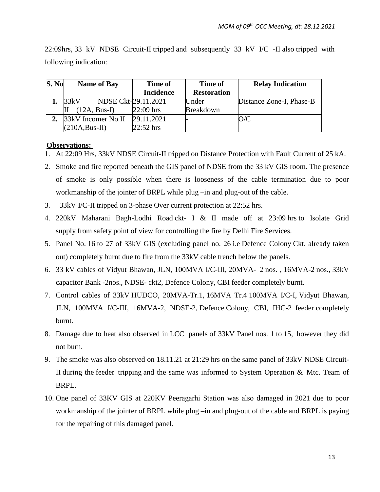| S. No | <b>Name of Bay</b>          | <b>Time of</b>   | Time of            | <b>Relay Indication</b>  |
|-------|-----------------------------|------------------|--------------------|--------------------------|
|       |                             | <b>Incidence</b> | <b>Restoration</b> |                          |
|       | NDSE Ckt-29.11.2021<br>33kV |                  | Under              | Distance Zone-I, Phase-B |
|       | $(12A, Bus-I)$              | $22:09$ hrs      | <b>Breakdown</b>   |                          |
|       | 2. 33kV Incomer No.II       | 29.11.2021       |                    | O/C                      |
|       | $(210A, Bus-II)$            | $22:52$ hrs      |                    |                          |

22:09hrs, 33 kV NDSE Circuit-II tripped and subsequently 33 kV I/C -II also tripped with following indication:

#### **Observations:**

- 1. At 22:09 Hrs, 33kV NDSE Circuit-II tripped on Distance Protection with Fault Current of 25 kA.
- 2. Smoke and fire reported beneath the GIS panel of NDSE from the 33 kV GIS room. The presence of smoke is only possible when there is looseness of the cable termination due to poor workmanship of the jointer of BRPL while plug –in and plug-out of the cable.
- 3. 33kV I/C-II tripped on 3-phase Over current protection at 22:52 hrs.
- 4. 220kV Maharani Bagh-Lodhi Road ckt- I & II made off at 23:09 hrs to Isolate Grid supply from safety point of view for controlling the fire by Delhi Fire Services.
- 5. Panel No. 16 to 27 of 33kV GIS (excluding panel no. 26 i.e Defence Colony Ckt. already taken out) completely burnt due to fire from the 33kV cable trench below the panels.
- 6. 33 kV cables of Vidyut Bhawan, JLN, 100MVA I/C-III, 20MVA- 2 nos. , 16MVA-2 nos., 33kV capacitor Bank -2nos., NDSE- ckt2, Defence Colony, CBI feeder completely burnt.
- 7. Control cables of 33kV HUDCO, 20MVA-Tr.1, 16MVA Tr.4 100MVA I/C-I, Vidyut Bhawan, JLN, 100MVA I/C-III, 16MVA-2, NDSE-2, Defence Colony, CBI, IHC-2 feeder completely burnt.
- 8. Damage due to heat also observed in LCC panels of 33kV Panel nos. 1 to 15, however they did not burn.
- 9. The smoke was also observed on 18.11.21 at 21:29 hrs on the same panel of 33kV NDSE Circuit-II during the feeder tripping and the same was informed to System Operation & Mtc. Team of BRPL.
- 10. One panel of 33KV GIS at 220KV Peeragarhi Station was also damaged in 2021 due to poor workmanship of the jointer of BRPL while plug –in and plug-out of the cable and BRPL is paying for the repairing of this damaged panel.